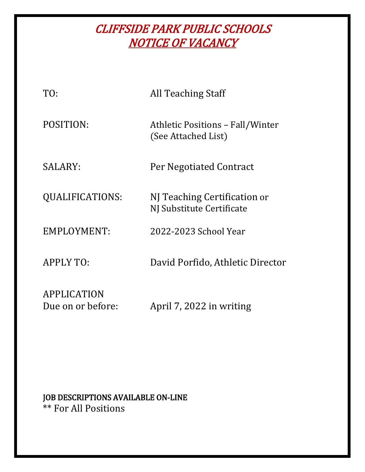# CLIFFSIDE PARK PUBLIC SCHOOLS NOTICE OF VACANCY

| TO:                                     | All Teaching Staff                                             |
|-----------------------------------------|----------------------------------------------------------------|
| POSITION:                               | <b>Athletic Positions - Fall/Winter</b><br>(See Attached List) |
| SALARY:                                 | Per Negotiated Contract                                        |
| QUALIFICATIONS:                         | NJ Teaching Certification or<br>NJ Substitute Certificate      |
| <b>EMPLOYMENT:</b>                      | 2022-2023 School Year                                          |
| <b>APPLY TO:</b>                        | David Porfido, Athletic Director                               |
| <b>APPLICATION</b><br>Due on or before: | April 7, 2022 in writing                                       |

# JOB DESCRIPTIONS AVAILABLE ON-LINE \*\* For All Positions